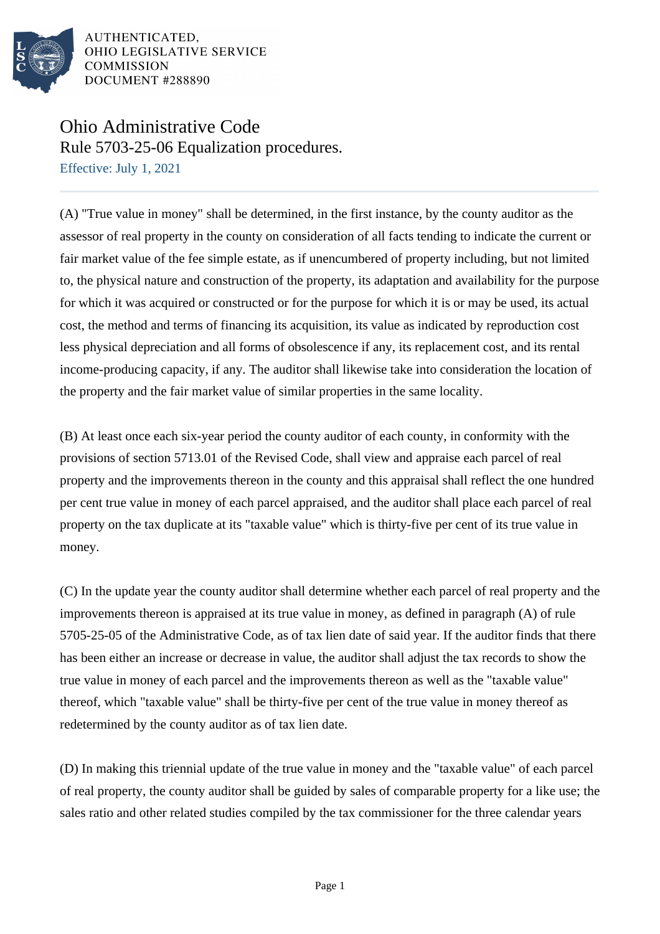

AUTHENTICATED. OHIO LEGISLATIVE SERVICE COMMISSION DOCUMENT #288890

## Ohio Administrative Code Rule 5703-25-06 Equalization procedures.

Effective: July 1, 2021

(A) "True value in money" shall be determined, in the first instance, by the county auditor as the assessor of real property in the county on consideration of all facts tending to indicate the current or fair market value of the fee simple estate, as if unencumbered of property including, but not limited to, the physical nature and construction of the property, its adaptation and availability for the purpose for which it was acquired or constructed or for the purpose for which it is or may be used, its actual cost, the method and terms of financing its acquisition, its value as indicated by reproduction cost less physical depreciation and all forms of obsolescence if any, its replacement cost, and its rental income-producing capacity, if any. The auditor shall likewise take into consideration the location of the property and the fair market value of similar properties in the same locality.

(B) At least once each six-year period the county auditor of each county, in conformity with the provisions of section 5713.01 of the Revised Code, shall view and appraise each parcel of real property and the improvements thereon in the county and this appraisal shall reflect the one hundred per cent true value in money of each parcel appraised, and the auditor shall place each parcel of real property on the tax duplicate at its "taxable value" which is thirty-five per cent of its true value in money.

(C) In the update year the county auditor shall determine whether each parcel of real property and the improvements thereon is appraised at its true value in money, as defined in paragraph (A) of rule 5705-25-05 of the Administrative Code, as of tax lien date of said year. If the auditor finds that there has been either an increase or decrease in value, the auditor shall adjust the tax records to show the true value in money of each parcel and the improvements thereon as well as the "taxable value" thereof, which "taxable value" shall be thirty-five per cent of the true value in money thereof as redetermined by the county auditor as of tax lien date.

(D) In making this triennial update of the true value in money and the "taxable value" of each parcel of real property, the county auditor shall be guided by sales of comparable property for a like use; the sales ratio and other related studies compiled by the tax commissioner for the three calendar years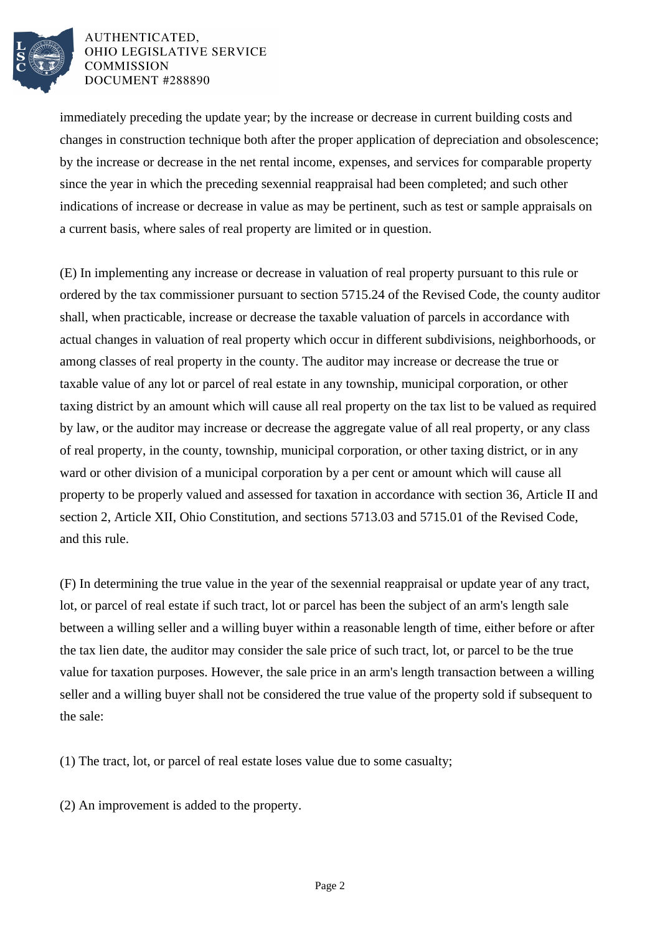

## AUTHENTICATED. OHIO LEGISLATIVE SERVICE **COMMISSION** DOCUMENT #288890

immediately preceding the update year; by the increase or decrease in current building costs and changes in construction technique both after the proper application of depreciation and obsolescence; by the increase or decrease in the net rental income, expenses, and services for comparable property since the year in which the preceding sexennial reappraisal had been completed; and such other indications of increase or decrease in value as may be pertinent, such as test or sample appraisals on a current basis, where sales of real property are limited or in question.

(E) In implementing any increase or decrease in valuation of real property pursuant to this rule or ordered by the tax commissioner pursuant to section 5715.24 of the Revised Code, the county auditor shall, when practicable, increase or decrease the taxable valuation of parcels in accordance with actual changes in valuation of real property which occur in different subdivisions, neighborhoods, or among classes of real property in the county. The auditor may increase or decrease the true or taxable value of any lot or parcel of real estate in any township, municipal corporation, or other taxing district by an amount which will cause all real property on the tax list to be valued as required by law, or the auditor may increase or decrease the aggregate value of all real property, or any class of real property, in the county, township, municipal corporation, or other taxing district, or in any ward or other division of a municipal corporation by a per cent or amount which will cause all property to be properly valued and assessed for taxation in accordance with section 36, Article II and section 2, Article XII, Ohio Constitution, and sections 5713.03 and 5715.01 of the Revised Code, and this rule.

(F) In determining the true value in the year of the sexennial reappraisal or update year of any tract, lot, or parcel of real estate if such tract, lot or parcel has been the subject of an arm's length sale between a willing seller and a willing buyer within a reasonable length of time, either before or after the tax lien date, the auditor may consider the sale price of such tract, lot, or parcel to be the true value for taxation purposes. However, the sale price in an arm's length transaction between a willing seller and a willing buyer shall not be considered the true value of the property sold if subsequent to the sale:

(1) The tract, lot, or parcel of real estate loses value due to some casualty;

(2) An improvement is added to the property.